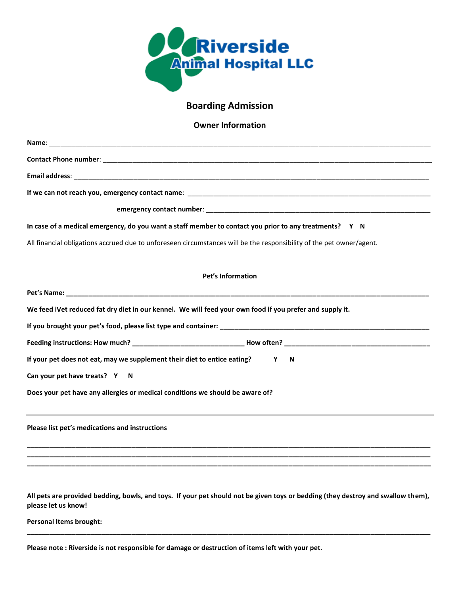

## **Boarding Admission**

**Owner Information** 

| Name:                                                                                                                |
|----------------------------------------------------------------------------------------------------------------------|
|                                                                                                                      |
|                                                                                                                      |
|                                                                                                                      |
|                                                                                                                      |
| In case of a medical emergency, do you want a staff member to contact you prior to any treatments? Y N               |
| All financial obligations accrued due to unforeseen circumstances will be the responsibility of the pet owner/agent. |
|                                                                                                                      |
| <b>Pet's Information</b>                                                                                             |
|                                                                                                                      |
| We feed iVet reduced fat dry diet in our kennel. We will feed your own food if you prefer and supply it.             |
|                                                                                                                      |
|                                                                                                                      |
| If your pet does not eat, may we supplement their diet to entice eating?<br>Y<br>N                                   |
| Can your pet have treats? Y N                                                                                        |
| Does your pet have any allergies or medical conditions we should be aware of?                                        |
| Please list pet's medications and instructions                                                                       |
|                                                                                                                      |

**All pets are provided bedding, bowls, and toys. If your pet should not be given toys or bedding (they destroy and swallow them), please let us know!** 

**\_\_\_\_\_\_\_\_\_\_\_\_\_\_\_\_\_\_\_\_\_\_\_\_\_\_\_\_\_\_\_\_\_\_\_\_\_\_\_\_\_\_\_\_\_\_\_\_\_\_\_\_\_\_\_\_\_\_\_\_\_\_\_\_\_\_\_\_\_\_\_\_\_\_\_\_\_\_\_\_\_\_\_\_\_\_\_\_\_\_\_\_\_\_\_\_\_\_\_\_\_\_\_\_\_\_\_\_** 

**Personal Items brought:** 

**Please note : Riverside is not responsible for damage or destruction of items left with your pet.**